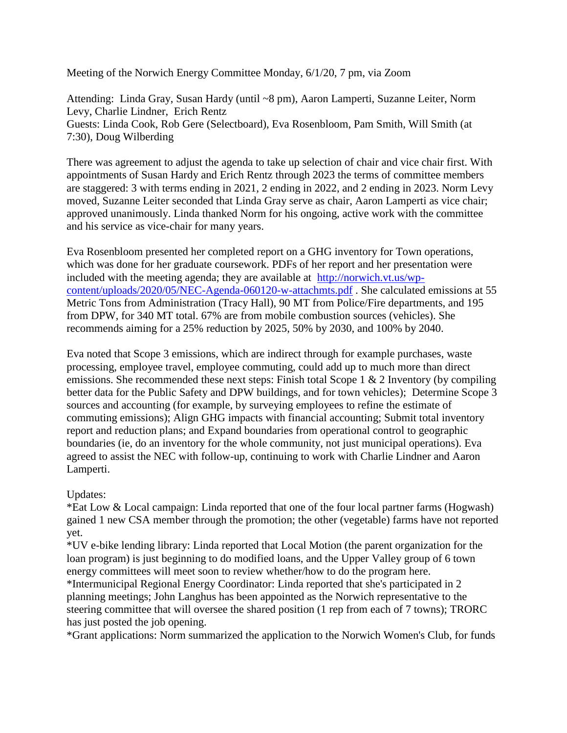Meeting of the Norwich Energy Committee Monday, 6/1/20, 7 pm, via Zoom

Attending: Linda Gray, Susan Hardy (until ~8 pm), Aaron Lamperti, Suzanne Leiter, Norm Levy, Charlie Lindner, Erich Rentz Guests: Linda Cook, Rob Gere (Selectboard), Eva Rosenbloom, Pam Smith, Will Smith (at 7:30), Doug Wilberding

There was agreement to adjust the agenda to take up selection of chair and vice chair first. With appointments of Susan Hardy and Erich Rentz through 2023 the terms of committee members are staggered: 3 with terms ending in 2021, 2 ending in 2022, and 2 ending in 2023. Norm Levy moved, Suzanne Leiter seconded that Linda Gray serve as chair, Aaron Lamperti as vice chair; approved unanimously. Linda thanked Norm for his ongoing, active work with the committee and his service as vice-chair for many years.

Eva Rosenbloom presented her completed report on a GHG inventory for Town operations, which was done for her graduate coursework. PDFs of her report and her presentation were included with the meeting agenda; they are available at [http://norwich.vt.us/wp](http://norwich.vt.us/wp-content/uploads/2020/05/NEC-Agenda-060120-w-attachmts.pdf)[content/uploads/2020/05/NEC-Agenda-060120-w-attachmts.pdf](http://norwich.vt.us/wp-content/uploads/2020/05/NEC-Agenda-060120-w-attachmts.pdf) . She calculated emissions at 55 Metric Tons from Administration (Tracy Hall), 90 MT from Police/Fire departments, and 195 from DPW, for 340 MT total. 67% are from mobile combustion sources (vehicles). She recommends aiming for a 25% reduction by 2025, 50% by 2030, and 100% by 2040.

Eva noted that Scope 3 emissions, which are indirect through for example purchases, waste processing, employee travel, employee commuting, could add up to much more than direct emissions. She recommended these next steps: Finish total Scope 1  $\&$  2 Inventory (by compiling better data for the Public Safety and DPW buildings, and for town vehicles); Determine Scope 3 sources and accounting (for example, by surveying employees to refine the estimate of commuting emissions); Align GHG impacts with financial accounting; Submit total inventory report and reduction plans; and Expand boundaries from operational control to geographic boundaries (ie, do an inventory for the whole community, not just municipal operations). Eva agreed to assist the NEC with follow-up, continuing to work with Charlie Lindner and Aaron Lamperti.

Updates:

\*Eat Low & Local campaign: Linda reported that one of the four local partner farms (Hogwash) gained 1 new CSA member through the promotion; the other (vegetable) farms have not reported yet.

\*UV e-bike lending library: Linda reported that Local Motion (the parent organization for the loan program) is just beginning to do modified loans, and the Upper Valley group of 6 town energy committees will meet soon to review whether/how to do the program here.

\*Intermunicipal Regional Energy Coordinator: Linda reported that she's participated in 2 planning meetings; John Langhus has been appointed as the Norwich representative to the steering committee that will oversee the shared position (1 rep from each of 7 towns); TRORC has just posted the job opening.

\*Grant applications: Norm summarized the application to the Norwich Women's Club, for funds